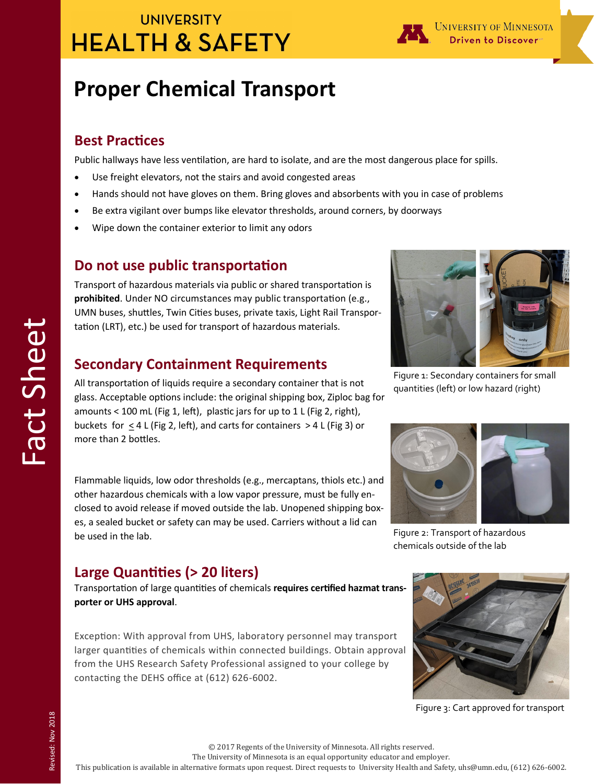## **UNIVERSITY HEALTH & SAFETY**



# **Proper Chemical Transport**

### **Best Practices**

Public hallways have less ventilation, are hard to isolate, and are the most dangerous place for spills.

- Use freight elevators, not the stairs and avoid congested areas
- Hands should not have gloves on them. Bring gloves and absorbents with you in case of problems
- Be extra vigilant over bumps like elevator thresholds, around corners, by doorways
- Wipe down the container exterior to limit any odors

### **Do not use public transportation**

Transport of hazardous materials via public or shared transportation is **prohibited**. Under NO circumstances may public transportation (e.g., UMN buses, shuttles, Twin Cities buses, private taxis, Light Rail Transportation (LRT), etc.) be used for transport of hazardous materials.

### **Secondary Containment Requirements**

All transportation of liquids require a secondary container that is not glass. Acceptable options include: the original shipping box, Ziploc bag for amounts < 100 mL (Fig 1, left), plastic jars for up to 1 L (Fig 2, right), buckets for < 4 L (Fig 2, left), and carts for containers > 4 L (Fig 3) or more than 2 bottles.

Flammable liquids, low odor thresholds (e.g., mercaptans, thiols etc.) and other hazardous chemicals with a low vapor pressure, must be fully enclosed to avoid release if moved outside the lab. Unopened shipping boxes, a sealed bucket or safety can may be used. Carriers without a lid can be used in the lab.

### **Large Quantities (> 20 liters)**

Transportation of large quantities of chemicals **requires certified hazmat transporter or UHS approval**.

Exception: With approval from UHS, laboratory personnel may transport larger quantities of chemicals within connected buildings. Obtain approval from the UHS Research Safety Professional assigned to your college by contacting the DEHS office at (612) 626-6002.



Figure 1: Secondary containers for small quantities (left) or low hazard (right)



Figure 2: Transport of hazardous chemicals outside of the lab



Figure 3: Cart approved for transport

The University of Minnesota is an equal opportunity educator and employer.

This publication is available in alternative formats upon request. Direct requests to University Health and Safety, uhs@umn.edu, (612) 626-6002.